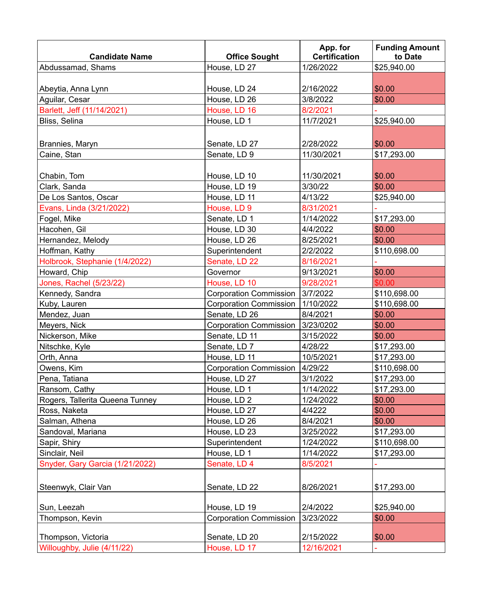| <b>Candidate Name</b>           | <b>Office Sought</b>          | App. for<br><b>Certification</b> | <b>Funding Amount</b><br>to Date |
|---------------------------------|-------------------------------|----------------------------------|----------------------------------|
| Abdussamad, Shams               | House, LD 27                  | 1/26/2022                        | \$25,940.00                      |
|                                 |                               |                                  |                                  |
| Abeytia, Anna Lynn              | House, LD 24                  | 2/16/2022                        | \$0.00                           |
| Aguilar, Cesar                  | House, LD 26                  | 3/8/2022                         | \$0.00                           |
| Barlett, Jeff (11/14/2021)      | House, LD 16                  | 8/2/2021                         |                                  |
| Bliss, Selina                   | House, LD 1                   | 11/7/2021                        | \$25,940.00                      |
|                                 |                               |                                  |                                  |
| Brannies, Maryn                 | Senate, LD 27                 | 2/28/2022                        | \$0.00                           |
| Caine, Stan                     | Senate, LD 9                  | 11/30/2021                       | \$17,293.00                      |
|                                 |                               |                                  |                                  |
| Chabin, Tom                     | House, LD 10                  | 11/30/2021                       | \$0.00                           |
| Clark, Sanda                    | House, LD 19                  | 3/30/22                          | \$0.00                           |
| De Los Santos, Oscar            | House, LD 11                  | 4/13/22                          | \$25,940.00                      |
| Evans, Linda (3/21/2022)        | House, LD 9                   | 8/31/2021                        |                                  |
| Fogel, Mike                     | Senate, LD 1                  | 1/14/2022                        | \$17,293.00                      |
| Hacohen, Gil                    | House, LD 30                  | 4/4/2022                         | \$0.00                           |
| Hernandez, Melody               | House, LD 26                  | 8/25/2021                        | \$0.00                           |
| Hoffman, Kathy                  | Superintendent                | 2/2/2022                         | \$110,698.00                     |
| Holbrook, Stephanie (1/4/2022)  | Senate, LD 22                 | 8/16/2021                        |                                  |
| Howard, Chip                    | Governor                      | 9/13/2021                        | \$0.00                           |
| <b>Jones, Rachel (5/23/22)</b>  | House, LD 10                  | 9/28/2021                        | \$0.00                           |
| Kennedy, Sandra                 | <b>Corporation Commission</b> | 3/7/2022                         | \$110,698.00                     |
| Kuby, Lauren                    | <b>Corporation Commission</b> | 1/10/2022                        | \$110,698.00                     |
| Mendez, Juan                    | Senate, LD 26                 | 8/4/2021                         | \$0.00                           |
| Meyers, Nick                    | <b>Corporation Commission</b> | 3/23/0202                        | \$0.00                           |
| Nickerson, Mike                 | Senate, LD 11                 | 3/15/2022                        | \$0.00                           |
| Nitschke, Kyle                  | Senate, LD 7                  | 4/28/22                          | \$17,293.00                      |
| Orth, Anna                      | House, LD 11                  | 10/5/2021                        | \$17,293.00                      |
| Owens, Kim                      | <b>Corporation Commission</b> | 4/29/22                          | \$110,698.00                     |
| Pena, Tatiana                   | House, LD 27                  | 3/1/2022                         | \$17,293.00                      |
| Ransom, Cathy                   | House, LD 1                   | 1/14/2022                        | \$17,293.00                      |
| Rogers, Tallerita Queena Tunney | House, LD 2                   | 1/24/2022                        | \$0.00                           |
| Ross, Naketa                    | House, LD 27                  | 4/4222                           | \$0.00                           |
| Salman, Athena                  | House, LD 26                  | 8/4/2021                         | \$0.00                           |
| Sandoval, Mariana               | House, LD 23                  | 3/25/2022                        | \$17,293.00                      |
| Sapir, Shiry                    | Superintendent                | 1/24/2022                        | \$110,698.00                     |
| Sinclair, Neil                  | House, LD 1                   | 1/14/2022                        | \$17,293.00                      |
| Snyder, Gary Garcia (1/21/2022) | Senate, LD 4                  | 8/5/2021                         |                                  |
| Steenwyk, Clair Van             | Senate, LD 22                 | 8/26/2021                        | \$17,293.00                      |
| Sun, Leezah                     | House, LD 19                  | 2/4/2022                         | \$25,940.00                      |
| Thompson, Kevin                 | <b>Corporation Commission</b> | 3/23/2022                        | \$0.00                           |
|                                 |                               |                                  |                                  |
| Thompson, Victoria              | Senate, LD 20                 | 2/15/2022                        | \$0.00                           |
| Willoughby, Julie (4/11/22)     | House, LD 17                  | 12/16/2021                       |                                  |